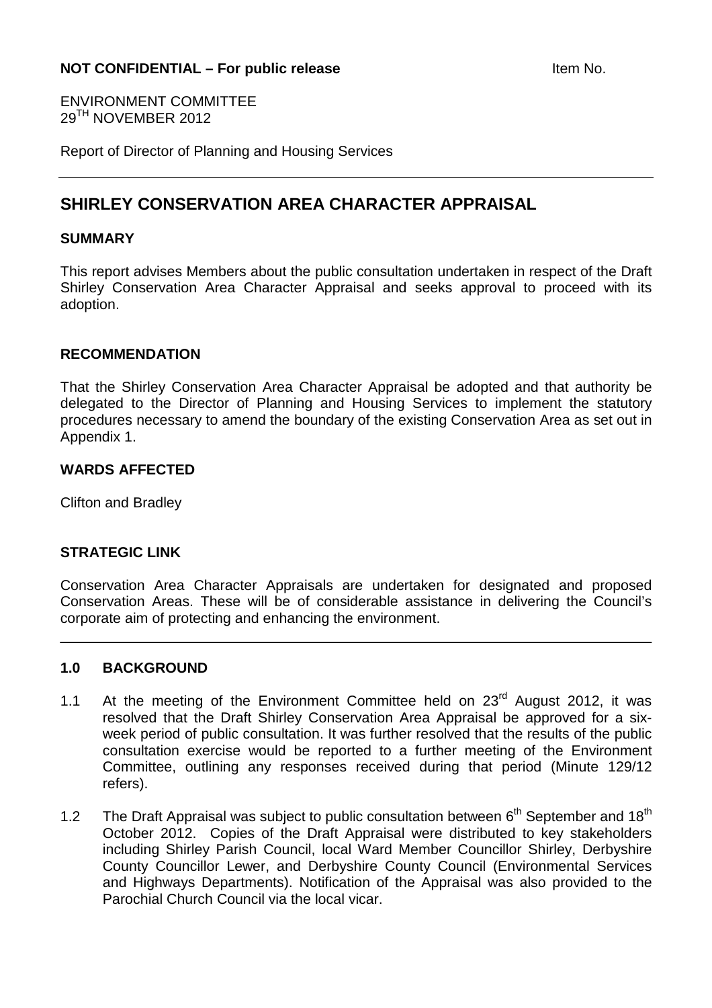ENVIRONMENT COMMITTEE 29TH NOVEMBER 2012

Report of Director of Planning and Housing Services

# **SHIRLEY CONSERVATION AREA CHARACTER APPRAISAL**

#### **SUMMARY**

This report advises Members about the public consultation undertaken in respect of the Draft Shirley Conservation Area Character Appraisal and seeks approval to proceed with its adoption.

#### **RECOMMENDATION**

That the Shirley Conservation Area Character Appraisal be adopted and that authority be delegated to the Director of Planning and Housing Services to implement the statutory procedures necessary to amend the boundary of the existing Conservation Area as set out in Appendix 1.

#### **WARDS AFFECTED**

Clifton and Bradley

## **STRATEGIC LINK**

Conservation Area Character Appraisals are undertaken for designated and proposed Conservation Areas. These will be of considerable assistance in delivering the Council's corporate aim of protecting and enhancing the environment.

#### **1.0 BACKGROUND**

- 1.1 At the meeting of the Environment Committee held on  $23<sup>rd</sup>$  August 2012, it was resolved that the Draft Shirley Conservation Area Appraisal be approved for a sixweek period of public consultation. It was further resolved that the results of the public consultation exercise would be reported to a further meeting of the Environment Committee, outlining any responses received during that period (Minute 129/12 refers).
- 1.2 The Draft Appraisal was subject to public consultation between  $6<sup>th</sup>$  September and 18<sup>th</sup> October 2012. Copies of the Draft Appraisal were distributed to key stakeholders including Shirley Parish Council, local Ward Member Councillor Shirley, Derbyshire County Councillor Lewer, and Derbyshire County Council (Environmental Services and Highways Departments). Notification of the Appraisal was also provided to the Parochial Church Council via the local vicar.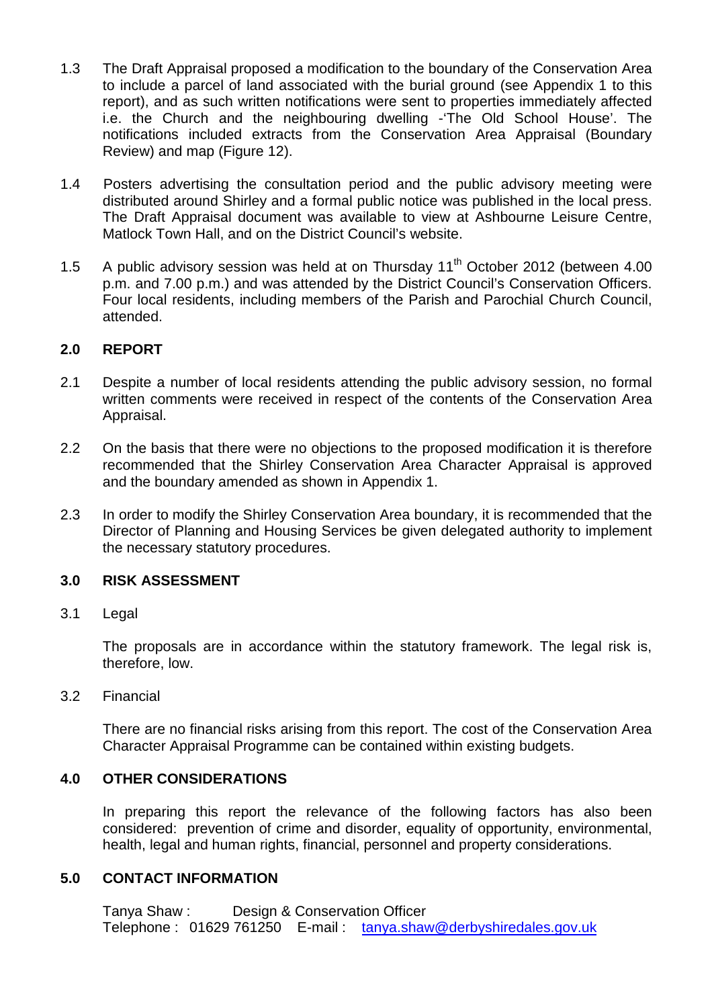- 1.3 The Draft Appraisal proposed a modification to the boundary of the Conservation Area to include a parcel of land associated with the burial ground (see Appendix 1 to this report), and as such written notifications were sent to properties immediately affected i.e. the Church and the neighbouring dwelling -'The Old School House'. The notifications included extracts from the Conservation Area Appraisal (Boundary Review) and map (Figure 12).
- 1.4 Posters advertising the consultation period and the public advisory meeting were distributed around Shirley and a formal public notice was published in the local press. The Draft Appraisal document was available to view at Ashbourne Leisure Centre, Matlock Town Hall, and on the District Council's website.
- 1.5 A public advisory session was held at on Thursday 11<sup>th</sup> October 2012 (between 4.00 p.m. and 7.00 p.m.) and was attended by the District Council's Conservation Officers. Four local residents, including members of the Parish and Parochial Church Council, attended.

## **2.0 REPORT**

- 2.1 Despite a number of local residents attending the public advisory session, no formal written comments were received in respect of the contents of the Conservation Area Appraisal.
- 2.2 On the basis that there were no objections to the proposed modification it is therefore recommended that the Shirley Conservation Area Character Appraisal is approved and the boundary amended as shown in Appendix 1.
- 2.3 In order to modify the Shirley Conservation Area boundary, it is recommended that the Director of Planning and Housing Services be given delegated authority to implement the necessary statutory procedures.

# **3.0 RISK ASSESSMENT**

3.1 Legal

The proposals are in accordance within the statutory framework. The legal risk is, therefore, low.

3.2 Financial

There are no financial risks arising from this report. The cost of the Conservation Area Character Appraisal Programme can be contained within existing budgets.

## **4.0 OTHER CONSIDERATIONS**

In preparing this report the relevance of the following factors has also been considered: prevention of crime and disorder, equality of opportunity, environmental, health, legal and human rights, financial, personnel and property considerations.

## **5.0 CONTACT INFORMATION**

Tanya Shaw : Design & Conservation Officer Telephone : 01629 761250 E-mail : tanya.shaw@derbyshiredales.gov.uk